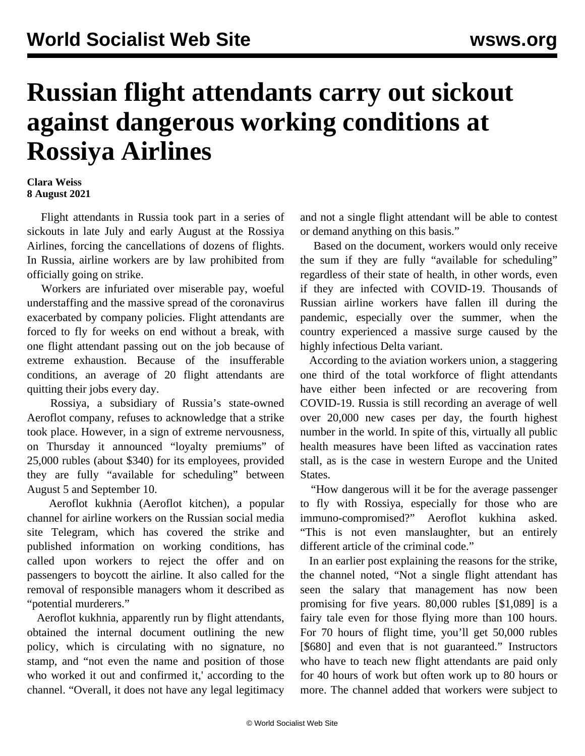## **Russian flight attendants carry out sickout against dangerous working conditions at Rossiya Airlines**

## **Clara Weiss 8 August 2021**

 Flight attendants in Russia took part in a series of sickouts in late July and early August at the Rossiya Airlines, forcing the cancellations of dozens of flights. In Russia, airline workers are by law prohibited from officially going on strike.

 Workers are infuriated over miserable pay, woeful understaffing and the massive spread of the coronavirus exacerbated by company policies. Flight attendants are forced to fly for weeks on end without a break, with one flight attendant passing out on the job because of extreme exhaustion. Because of the insufferable conditions, an average of 20 flight attendants are quitting their jobs every day.

 Rossiya, a subsidiary of Russia's state-owned Aeroflot company, refuses to acknowledge that a strike took place. However, in a sign of extreme nervousness, on Thursday it announced "loyalty premiums" of 25,000 rubles (about \$340) for its employees, provided they are fully "available for scheduling" between August 5 and September 10.

 Aeroflot kukhnia (Aeroflot kitchen), a popular channel for airline workers on the Russian social media site Telegram, which has covered the strike and published information on working conditions, has called upon workers to reject the offer and on passengers to boycott the airline. It also called for the removal of responsible managers whom it described as "potential murderers."

 Aeroflot kukhnia, apparently run by flight attendants, obtained the internal document outlining the new policy, which is circulating with no signature, no stamp, and "not even the name and position of those who worked it out and confirmed it,' according to the channel. "Overall, it does not have any legal legitimacy

and not a single flight attendant will be able to contest or demand anything on this basis."

 Based on the document, workers would only receive the sum if they are fully "available for scheduling" regardless of their state of health, in other words, even if they are infected with COVID-19. Thousands of Russian airline workers have fallen ill during the pandemic, especially over the summer, when the country experienced a [massive surge](/en/articles/2021/07/03/rcov-j03.html) caused by the highly infectious Delta variant.

 According to the aviation workers union, a staggering one third of the total workforce of flight attendants have either been infected or are recovering from COVID-19. Russia is still recording an average of well over 20,000 new cases per day, the fourth highest number in the world. In spite of this, virtually all public health measures have been lifted as vaccination rates stall, as is the case in western Europe and the United States.

 "How dangerous will it be for the average passenger to fly with Rossiya, especially for those who are immuno-compromised?" Aeroflot kukhina asked. "This is not even manslaughter, but an entirely different article of the criminal code."

 In an earlier post explaining the reasons for the strike, the channel noted, "Not a single flight attendant has seen the salary that management has now been promising for five years. 80,000 rubles [\$1,089] is a fairy tale even for those flying more than 100 hours. For 70 hours of flight time, you'll get 50,000 rubles [\$680] and even that is not guaranteed." Instructors who have to teach new flight attendants are paid only for 40 hours of work but often work up to 80 hours or more. The channel added that workers were subject to